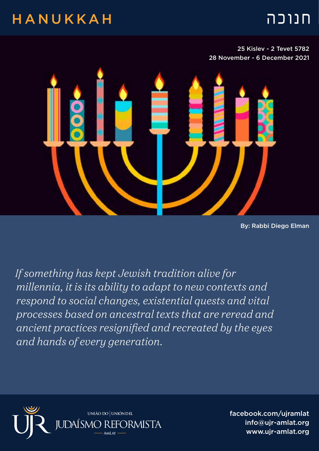## חנוכה HANUKKAH

25 Kislev - 2 Tevet 5782 28 November - 6 December 2021



By: Rabbi Diego Elman

*If something has kept Jewish tradition alive for millennia, it is its ability to adapt to new contexts and respond to social changes, existential quests and vital processes based on ancestral texts that are reread and ancient practices resignified and recreated by the eyes and hands of every generation.*



facebook.com/ujramlat info@ujr-amlat.org www.uir-amlat.org جمعة info@ujr-amlat.org<br>- بين السياسي السياسي بين السياسي<br>- السياسي السياسي السياسي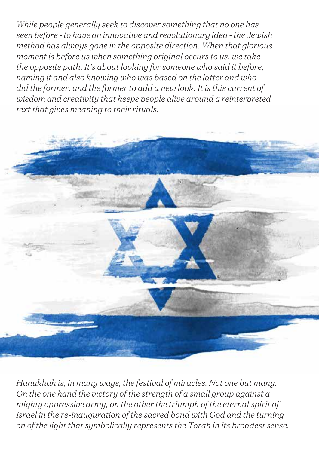*While people generally seek to discover something that no one has seen before - to have an innovative and revolutionary idea - the Jewish method has always gone in the opposite direction. When that glorious moment is before us when something original occurs to us, we take the opposite path. It's about looking for someone who said it before, naming it and also knowing who was based on the latter and who did the former, and the former to add a new look. It is this current of wisdom and creativity that keeps people alive around a reinterpreted text that gives meaning to their rituals.*



*Hanukkah is, in many ways, the festival of miracles. Not one but many. On the one hand the victory of the strength of a small group against a mighty oppressive army, on the other the triumph of the eternal spirit of Israel in the re-inauguration of the sacred bond with God and the turning on of the light that symbolically represents the Torah in its broadest sense.*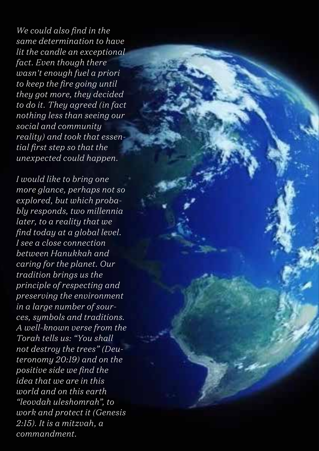*We could also find in the same determination to have lit the candle an exceptional fact. Even though there wasn't enough fuel a priori to keep the fire going until they got more, they decided to do it. They agreed (in fact nothing less than seeing our social and community reality) and took that essential first step so that the unexpected could happen.*

*I would like to bring one more glance, perhaps not so explored, but which probably responds, two millennia later, to a reality that we find today at a global level. I see a close connection between Hanukkah and caring for the planet. Our tradition brings us the principle of respecting and preserving the environment in a large number of sources, symbols and traditions. A well-known verse from the Torah tells us: "You shall not destroy the trees" (Deuteronomy 20:19) and on the positive side we find the idea that we are in this world and on this earth "leovdah uleshomrah", to work and protect it (Genesis 2:15). It is a mitzvah, a commandment.*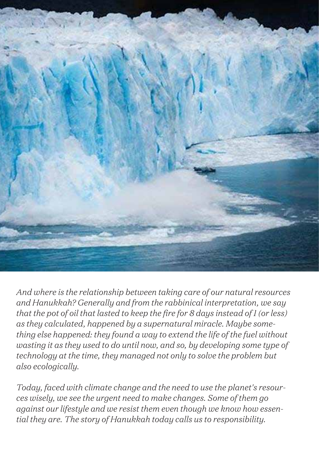

*And where is the relationship between taking care of our natural resources and Hanukkah? Generally and from the rabbinical interpretation, we say that the pot of oil that lasted to keep the fire for 8 days instead of 1 (or less) as they calculated, happened by a supernatural miracle. Maybe something else happened: they found a way to extend the life of the fuel without wasting it as they used to do until now, and so, by developing some type of technology at the time, they managed not only to solve the problem but also ecologically.*

*Today, faced with climate change and the need to use the planet's resources wisely, we see the urgent need to make changes. Some of them go against our lifestyle and we resist them even though we know how essential they are. The story of Hanukkah today calls us to responsibility.*